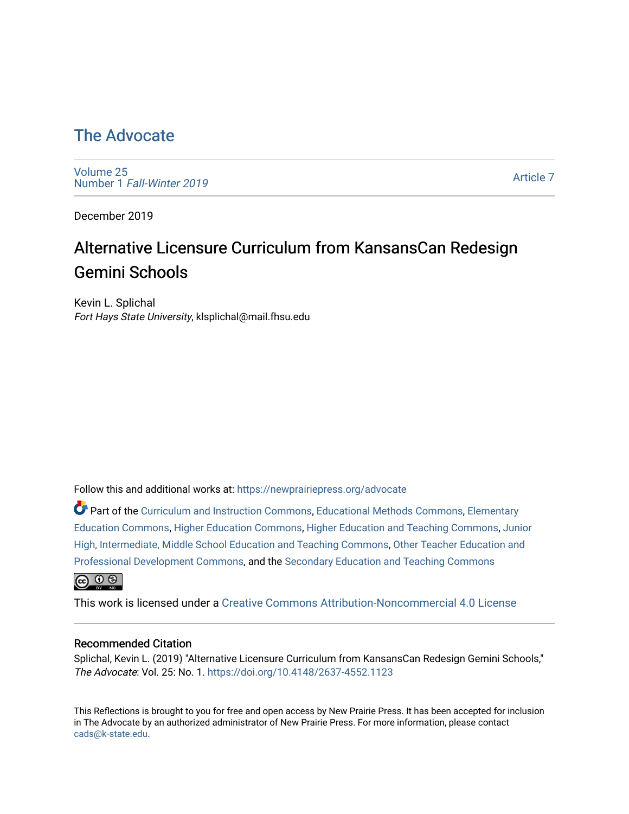## [The Advocate](https://newprairiepress.org/advocate)

[Volume 25](https://newprairiepress.org/advocate/vol25) Number 1 [Fall-Winter 2019](https://newprairiepress.org/advocate/vol25/iss1)

[Article 7](https://newprairiepress.org/advocate/vol25/iss1/7) 

December 2019

# Alternative Licensure Curriculum from KansansCan Redesign Gemini Schools

Kevin L. Splichal Fort Hays State University, klsplichal@mail.fhsu.edu

Follow this and additional works at: [https://newprairiepress.org/advocate](https://newprairiepress.org/advocate?utm_source=newprairiepress.org%2Fadvocate%2Fvol25%2Fiss1%2F7&utm_medium=PDF&utm_campaign=PDFCoverPages) 

Part of the [Curriculum and Instruction Commons,](http://network.bepress.com/hgg/discipline/786?utm_source=newprairiepress.org%2Fadvocate%2Fvol25%2Fiss1%2F7&utm_medium=PDF&utm_campaign=PDFCoverPages) [Educational Methods Commons,](http://network.bepress.com/hgg/discipline/1227?utm_source=newprairiepress.org%2Fadvocate%2Fvol25%2Fiss1%2F7&utm_medium=PDF&utm_campaign=PDFCoverPages) [Elementary](http://network.bepress.com/hgg/discipline/1378?utm_source=newprairiepress.org%2Fadvocate%2Fvol25%2Fiss1%2F7&utm_medium=PDF&utm_campaign=PDFCoverPages) [Education Commons,](http://network.bepress.com/hgg/discipline/1378?utm_source=newprairiepress.org%2Fadvocate%2Fvol25%2Fiss1%2F7&utm_medium=PDF&utm_campaign=PDFCoverPages) [Higher Education Commons](http://network.bepress.com/hgg/discipline/1245?utm_source=newprairiepress.org%2Fadvocate%2Fvol25%2Fiss1%2F7&utm_medium=PDF&utm_campaign=PDFCoverPages), [Higher Education and Teaching Commons](http://network.bepress.com/hgg/discipline/806?utm_source=newprairiepress.org%2Fadvocate%2Fvol25%2Fiss1%2F7&utm_medium=PDF&utm_campaign=PDFCoverPages), [Junior](http://network.bepress.com/hgg/discipline/807?utm_source=newprairiepress.org%2Fadvocate%2Fvol25%2Fiss1%2F7&utm_medium=PDF&utm_campaign=PDFCoverPages)  [High, Intermediate, Middle School Education and Teaching Commons](http://network.bepress.com/hgg/discipline/807?utm_source=newprairiepress.org%2Fadvocate%2Fvol25%2Fiss1%2F7&utm_medium=PDF&utm_campaign=PDFCoverPages), [Other Teacher Education and](http://network.bepress.com/hgg/discipline/810?utm_source=newprairiepress.org%2Fadvocate%2Fvol25%2Fiss1%2F7&utm_medium=PDF&utm_campaign=PDFCoverPages) [Professional Development Commons](http://network.bepress.com/hgg/discipline/810?utm_source=newprairiepress.org%2Fadvocate%2Fvol25%2Fiss1%2F7&utm_medium=PDF&utm_campaign=PDFCoverPages), and the [Secondary Education and Teaching Commons](http://network.bepress.com/hgg/discipline/809?utm_source=newprairiepress.org%2Fadvocate%2Fvol25%2Fiss1%2F7&utm_medium=PDF&utm_campaign=PDFCoverPages)   $\bigcirc$   $\bigcirc$   $\bigcirc$ 

This work is licensed under a [Creative Commons Attribution-Noncommercial 4.0 License](https://creativecommons.org/licenses/by-nc/4.0/)

#### Recommended Citation

Splichal, Kevin L. (2019) "Alternative Licensure Curriculum from KansansCan Redesign Gemini Schools," The Advocate: Vol. 25: No. 1.<https://doi.org/10.4148/2637-4552.1123>

This Reflections is brought to you for free and open access by New Prairie Press. It has been accepted for inclusion in The Advocate by an authorized administrator of New Prairie Press. For more information, please contact [cads@k-state.edu.](mailto:cads@k-state.edu)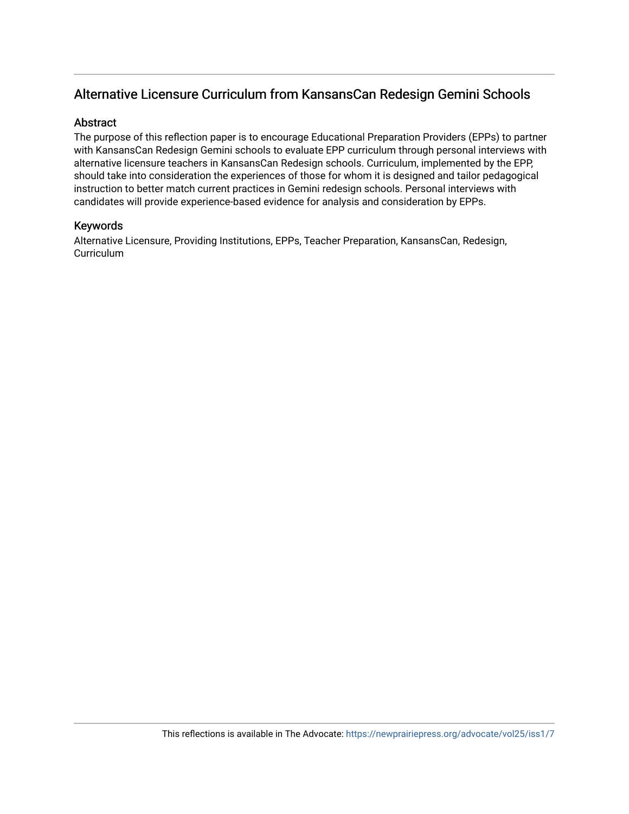### Alternative Licensure Curriculum from KansansCan Redesign Gemini Schools

### **Abstract**

The purpose of this reflection paper is to encourage Educational Preparation Providers (EPPs) to partner with KansansCan Redesign Gemini schools to evaluate EPP curriculum through personal interviews with alternative licensure teachers in KansansCan Redesign schools. Curriculum, implemented by the EPP, should take into consideration the experiences of those for whom it is designed and tailor pedagogical instruction to better match current practices in Gemini redesign schools. Personal interviews with candidates will provide experience-based evidence for analysis and consideration by EPPs.

### Keywords

Alternative Licensure, Providing Institutions, EPPs, Teacher Preparation, KansansCan, Redesign, **Curriculum**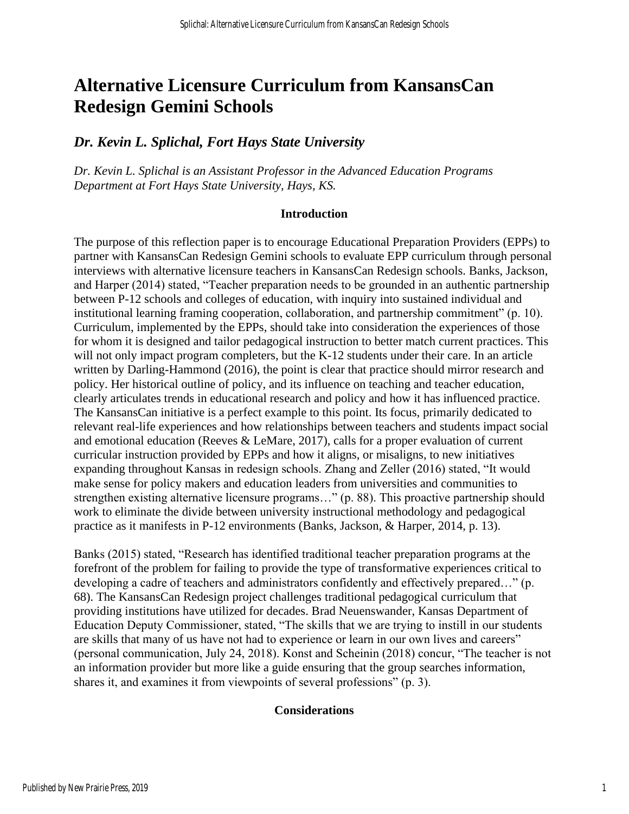# **Alternative Licensure Curriculum from KansansCan Redesign Gemini Schools**

### *Dr. Kevin L. Splichal, Fort Hays State University*

*Dr. Kevin L. Splichal is an Assistant Professor in the Advanced Education Programs Department at Fort Hays State University, Hays, KS.*

### **Introduction**

The purpose of this reflection paper is to encourage Educational Preparation Providers (EPPs) to partner with KansansCan Redesign Gemini schools to evaluate EPP curriculum through personal interviews with alternative licensure teachers in KansansCan Redesign schools. Banks, Jackson, and Harper (2014) stated, "Teacher preparation needs to be grounded in an authentic partnership between P-12 schools and colleges of education, with inquiry into sustained individual and institutional learning framing cooperation, collaboration, and partnership commitment" (p. 10). Curriculum, implemented by the EPPs, should take into consideration the experiences of those for whom it is designed and tailor pedagogical instruction to better match current practices. This will not only impact program completers, but the K-12 students under their care. In an article written by Darling-Hammond (2016), the point is clear that practice should mirror research and policy. Her historical outline of policy, and its influence on teaching and teacher education, clearly articulates trends in educational research and policy and how it has influenced practice. The KansansCan initiative is a perfect example to this point. Its focus, primarily dedicated to relevant real-life experiences and how relationships between teachers and students impact social and emotional education (Reeves & LeMare, 2017), calls for a proper evaluation of current curricular instruction provided by EPPs and how it aligns, or misaligns, to new initiatives expanding throughout Kansas in redesign schools. Zhang and Zeller (2016) stated, "It would make sense for policy makers and education leaders from universities and communities to strengthen existing alternative licensure programs…" (p. 88). This proactive partnership should work to eliminate the divide between university instructional methodology and pedagogical practice as it manifests in P-12 environments (Banks, Jackson, & Harper, 2014, p. 13).

Banks (2015) stated, "Research has identified traditional teacher preparation programs at the forefront of the problem for failing to provide the type of transformative experiences critical to developing a cadre of teachers and administrators confidently and effectively prepared…" (p. 68). The KansansCan Redesign project challenges traditional pedagogical curriculum that providing institutions have utilized for decades. Brad Neuenswander, Kansas Department of Education Deputy Commissioner, stated, "The skills that we are trying to instill in our students are skills that many of us have not had to experience or learn in our own lives and careers" (personal communication, July 24, 2018). Konst and Scheinin (2018) concur, "The teacher is not an information provider but more like a guide ensuring that the group searches information, shares it, and examines it from viewpoints of several professions" (p. 3).

### **Considerations**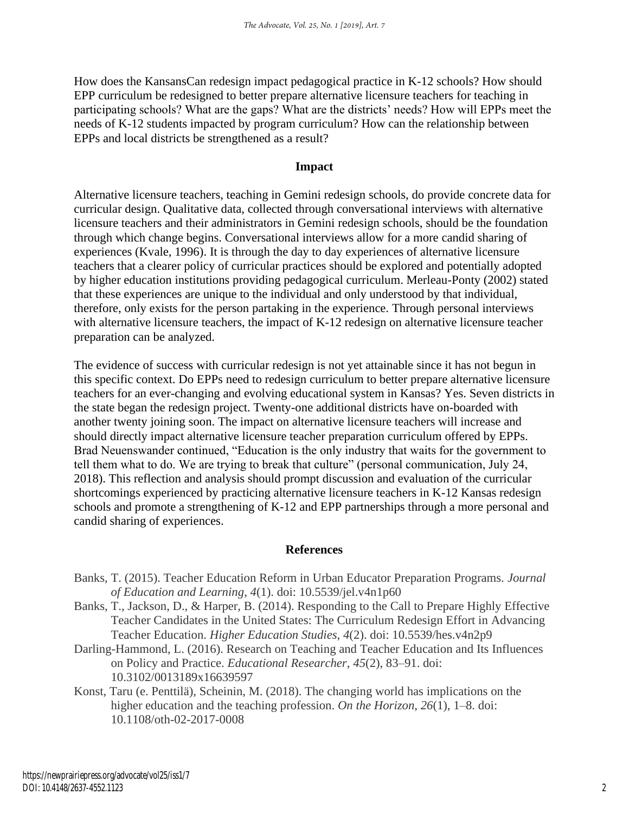How does the KansansCan redesign impact pedagogical practice in K-12 schools? How should EPP curriculum be redesigned to better prepare alternative licensure teachers for teaching in participating schools? What are the gaps? What are the districts' needs? How will EPPs meet the needs of K-12 students impacted by program curriculum? How can the relationship between EPPs and local districts be strengthened as a result?

### **Impact**

Alternative licensure teachers, teaching in Gemini redesign schools, do provide concrete data for curricular design. Qualitative data, collected through conversational interviews with alternative licensure teachers and their administrators in Gemini redesign schools, should be the foundation through which change begins. Conversational interviews allow for a more candid sharing of experiences (Kvale, 1996). It is through the day to day experiences of alternative licensure teachers that a clearer policy of curricular practices should be explored and potentially adopted by higher education institutions providing pedagogical curriculum. Merleau-Ponty (2002) stated that these experiences are unique to the individual and only understood by that individual, therefore, only exists for the person partaking in the experience. Through personal interviews with alternative licensure teachers, the impact of K-12 redesign on alternative licensure teacher preparation can be analyzed.

The evidence of success with curricular redesign is not yet attainable since it has not begun in this specific context. Do EPPs need to redesign curriculum to better prepare alternative licensure teachers for an ever-changing and evolving educational system in Kansas? Yes. Seven districts in the state began the redesign project. Twenty-one additional districts have on-boarded with another twenty joining soon. The impact on alternative licensure teachers will increase and should directly impact alternative licensure teacher preparation curriculum offered by EPPs. Brad Neuenswander continued, "Education is the only industry that waits for the government to tell them what to do. We are trying to break that culture" (personal communication, July 24, 2018). This reflection and analysis should prompt discussion and evaluation of the curricular shortcomings experienced by practicing alternative licensure teachers in K-12 Kansas redesign schools and promote a strengthening of K-12 and EPP partnerships through a more personal and candid sharing of experiences.

### **References**

- Banks, T. (2015). Teacher Education Reform in Urban Educator Preparation Programs. *Journal of Education and Learning*, *4*(1). doi: 10.5539/jel.v4n1p60
- Banks, T., Jackson, D., & Harper, B. (2014). Responding to the Call to Prepare Highly Effective Teacher Candidates in the United States: The Curriculum Redesign Effort in Advancing Teacher Education. *Higher Education Studies*, *4*(2). doi: 10.5539/hes.v4n2p9
- Darling-Hammond, L. (2016). Research on Teaching and Teacher Education and Its Influences on Policy and Practice. *Educational Researcher*, *45*(2), 83–91. doi: 10.3102/0013189x16639597
- Konst, Taru (e. Penttilä), Scheinin, M. (2018). The changing world has implications on the higher education and the teaching profession. *On the Horizon*, *26*(1), 1–8. doi: 10.1108/oth-02-2017-0008